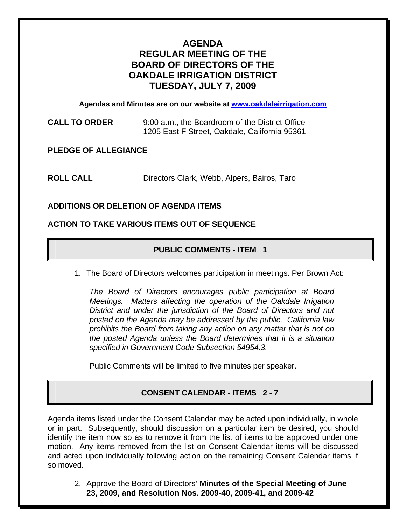# **AGENDA REGULAR MEETING OF THE BOARD OF DIRECTORS OF THE OAKDALE IRRIGATION DISTRICT TUESDAY, JULY 7, 2009**

**Agendas and Minutes are on our website at [www.oakdaleirrigation.com](http://www.oakdaleirrigation.com/)**

**CALL TO ORDER** 9:00 a.m., the Boardroom of the District Office 1205 East F Street, Oakdale, California 95361

**PLEDGE OF ALLEGIANCE** 

**ROLL CALL** Directors Clark, Webb, Alpers, Bairos, Taro

### **ADDITIONS OR DELETION OF AGENDA ITEMS**

### **ACTION TO TAKE VARIOUS ITEMS OUT OF SEQUENCE**

## **PUBLIC COMMENTS - ITEM 1**

1. The Board of Directors welcomes participation in meetings. Per Brown Act:

*The Board of Directors encourages public participation at Board Meetings. Matters affecting the operation of the Oakdale Irrigation District and under the jurisdiction of the Board of Directors and not posted on the Agenda may be addressed by the public. California law prohibits the Board from taking any action on any matter that is not on the posted Agenda unless the Board determines that it is a situation specified in Government Code Subsection 54954.3.*

Public Comments will be limited to five minutes per speaker.

## **CONSENT CALENDAR - ITEMS 2 - 7**

Agenda items listed under the Consent Calendar may be acted upon individually, in whole or in part. Subsequently, should discussion on a particular item be desired, you should identify the item now so as to remove it from the list of items to be approved under one motion. Any items removed from the list on Consent Calendar items will be discussed and acted upon individually following action on the remaining Consent Calendar items if so moved.

2. Approve the Board of Directors' **Minutes of the Special Meeting of June 23, 2009, and Resolution Nos. 2009-40, 2009-41, and 2009-42**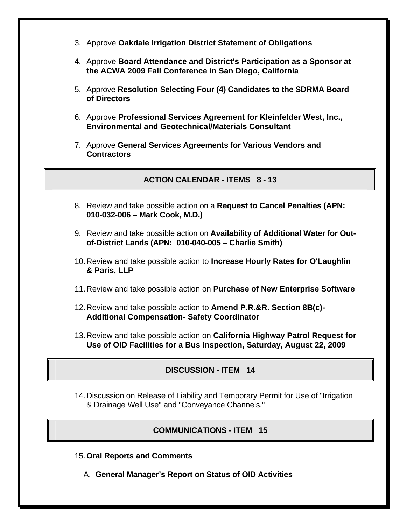- 3. Approve **Oakdale Irrigation District Statement of Obligations**
- 4. Approve **Board Attendance and District's Participation as a Sponsor at the ACWA 2009 Fall Conference in San Diego, California**
- 5. Approve **Resolution Selecting Four (4) Candidates to the SDRMA Board of Directors**
- 6. Approve **Professional Services Agreement for Kleinfelder West, Inc., Environmental and Geotechnical/Materials Consultant**
- 7. Approve **General Services Agreements for Various Vendors and Contractors**

**ACTION CALENDAR - ITEMS 8 - 13** 

- 8. Review and take possible action on a **Request to Cancel Penalties (APN: 010-032-006 – Mark Cook, M.D.)**
- 9. Review and take possible action on **Availability of Additional Water for Outof-District Lands (APN: 010-040-005 – Charlie Smith)**
- 10. Review and take possible action to **Increase Hourly Rates for O'Laughlin & Paris, LLP**
- 11. Review and take possible action on **Purchase of New Enterprise Software**
- 12. Review and take possible action to **Amend P.R.&R. Section 8B(c)- Additional Compensation- Safety Coordinator**
- 13. Review and take possible action on **California Highway Patrol Request for Use of OID Facilities for a Bus Inspection, Saturday, August 22, 2009**

## **DISCUSSION - ITEM 14**

14. Discussion on Release of Liability and Temporary Permit for Use of "Irrigation & Drainage Well Use" and "Conveyance Channels."

## **COMMUNICATIONS - ITEM 15**

- 15.**Oral Reports and Comments**
	- A. **General Manager's Report on Status of OID Activities**